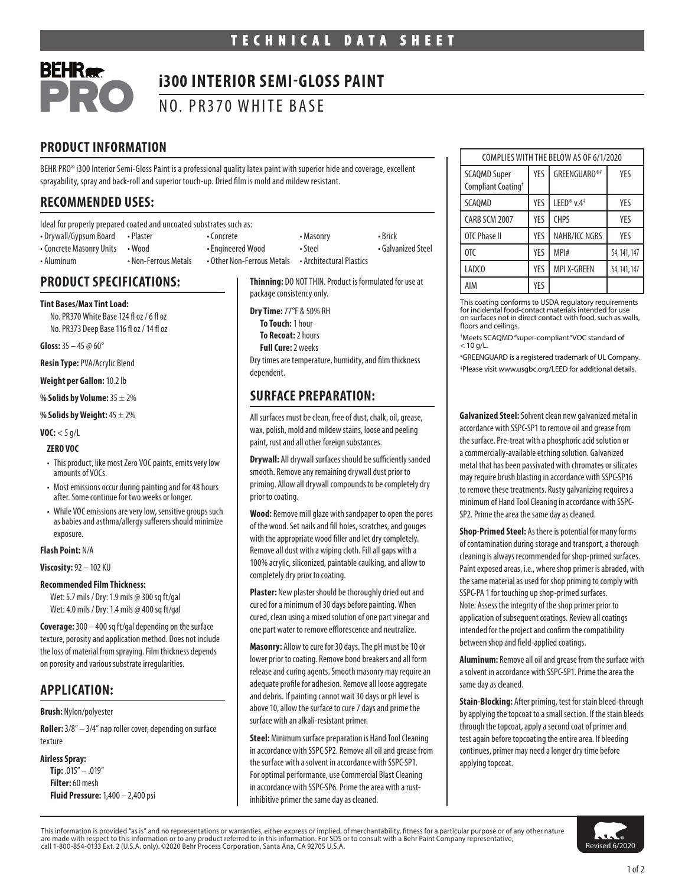

# **i300 INTERIOR SEMI-GLOSS PAINT**

NO. PR370 WHITE BASE

# **PRODUCT INFORMATION**

BEHR PRO® i300 Interior Semi-Gloss Paint is a professional quality latex paint with superior hide and coverage, excellent sprayability, spray and back-roll and superior touch-up. Dried film is mold and mildew resistant.

# **RECOMMENDED USES:**

Ideal for properly prepared coated and uncoated substrates such as:

- Drywall/Gypsum Board Plaster • Concrete Masonry Masonry Brick • Concrete Masonry Units • Wood • Fingineered Wood • Steel • Galvanized Steel
	-
- Aluminum Non-Ferrous Metals Other Non-Ferrous Metals Architectural Plastics

## **PRODUCT SPECIFICATIONS:**

## **Tint Bases/Max Tint Load:**

No. PR370 White Base 124 fl oz / 6 fl oz No. PR373 Deep Base 116 fl oz / 14 fl oz

**Gloss:** 35 – 45 @ 60°

**Resin Type:** PVA/Acrylic Blend

**Weight per Gallon:** 10.2 lb

**% Solids by Volume:** 35 ± 2%

**% Solids by Weight:** 45 ± 2%

**VOC:** < 5 g/L

## **ZERO VOC**

- This product, like most Zero VOC paints, emits very low amounts of VOCs.
- Most emissions occur during painting and for 48 hours after. Some continue for two weeks or longer.
- While VOC emissions are very low, sensitive groups such as babies and asthma/allergy sufferers should minimize exposure.

## **Flash Point:** N/A

**Viscosity:** 92 – 102 KU

## **Recommended Film Thickness:**

Wet: 5.7 mils / Dry: 1.9 mils @ 300 sq ft/gal Wet:4.0 mils / Dry: 1.4 mils @ 400 sq ft/gal

**Coverage:** 300 – 400 sq ft/gal depending on the surface texture, porosity and application method. Does not include the loss of material from spraying. Film thickness depends on porosity and various substrate irregularities.

# **APPLICATION:**

## **Brush:** Nylon/polyester

**Roller:** 3/8" – 3/4" nap roller cover, depending on surface texture

## **Airless Spray:**

**Tip:** .015" – .019" **Filter:** 60 mesh **Fluid Pressure:** 1,400 – 2,400 psi **Thinning:** DO NOT THIN. Product is formulated for use at package consistency only.

**Dry Time:** 77°F & 50% RH **To Touch:** 1 hour **To Recoat:** 2 hours **Full Cure:** 2 weeks

Dry times are temperature, humidity, and film thickness dependent.

# **SURFACE PREPARATION:**

All surfaces must be clean, free of dust, chalk, oil, grease, wax, polish, mold and mildew stains, loose and peeling paint, rust and all other foreign substances.

**Drywall:** All drywall surfaces should be sufficiently sanded smooth. Remove any remaining drywall dust prior to priming. Allow all drywall compounds to be completely dry prior to coating.

**Wood:** Remove mill glaze with sandpaper to open the pores of the wood. Set nails and fill holes, scratches, and gouges with the appropriate wood filler and let dry completely. Remove all dust with a wiping cloth. Fill all gaps with a 100% acrylic, siliconized, paintable caulking, and allow to completely dry prior to coating.

**Plaster:** New plaster should be thoroughly dried out and cured for a minimum of 30 days before painting. When cured, clean using a mixed solution of one part vinegar and one part water to remove efflorescence and neutralize.

**Masonry:** Allow to cure for 30 days. The pH must be 10 or lower prior to coating. Remove bond breakers and all form release and curing agents. Smooth masonry may require an adequate profile for adhesion. Remove all loose aggregate and debris. If painting cannot wait 30 days or pH level is above 10, allow the surface to cure 7 days and prime the surface with an alkali-resistant primer.

**Steel:** Minimum surface preparation is Hand Tool Cleaning in accordance with SSPC-SP2. Remove all oil and grease from the surface with a solvent in accordance with SSPC-SP1. For optimal performance, use Commercial Blast Cleaning in accordance with SSPC-SP6. Prime the area with a rustinhibitive primer the same day as cleaned.

| COMPLIES WITH THE BELOW AS OF 6/1/2020                |            |                        |              |
|-------------------------------------------------------|------------|------------------------|--------------|
| <b>SCAQMD Super</b><br>Compliant Coating <sup>+</sup> | YES        | GREENGUARD®#           | YFS          |
| <b>SCAOMD</b>                                         | YES        | LEED® v.4 <sup>‡</sup> | YFS          |
| CARB SCM 2007                                         | <b>YES</b> | <b>CHPS</b>            | YES          |
| OTC Phase II                                          | <b>YES</b> | NAHB/ICC NGBS          | YES          |
| OTC                                                   | YES        | MPI#                   | 54, 141, 147 |
| LADCO                                                 | YES        | <b>MPI X-GREEN</b>     | 54, 141, 147 |
| AIM                                                   | YES        |                        |              |

This coating conforms to USDA regulatory requirements for incidental food-contact materials intended for use on surfaces not in direct contact with food, such as walls, floors and ceilings.

† Meets SCAQMD "super-compliant"VOC standard of < 10 g/L.

# GREENGUARD is a registered trademark of UL Company. ‡ Please visit www.usgbc.org/LEED for additional details.

**Galvanized Steel:** Solvent clean new galvanized metal in accordance with SSPC-SP1 to remove oil and grease from the surface. Pre-treat with a phosphoric acid solution or a commercially-available etching solution. Galvanized metal that has been passivated with chromates or silicates may require brush blasting in accordance with SSPC-SP16 to remove these treatments. Rusty galvanizing requires a minimum of Hand Tool Cleaning in accordance with SSPC-SP2. Prime the area the same day as cleaned.

**Shop-Primed Steel:** As there is potential for many forms of contamination during storage and transport, a thorough cleaning is always recommended for shop-primed surfaces. Paint exposed areas, i.e., where shop primer is abraded, with the same material as used for shop priming to comply with SSPC-PA 1 for touching up shop-primed surfaces. Note: Assess the integrity of the shop primer prior to application of subsequent coatings. Review all coatings intended for the project and confirm the compatibility between shop and field-applied coatings.

**Aluminum:** Remove all oil and grease from the surface with a solvent in accordance with SSPC-SP1. Prime the area the same day as cleaned.

**Stain-Blocking:** After priming, test for stain bleed-through by applying the topcoat to a small section. If the stain bleeds through the topcoat, apply a second coat of primer and test again before topcoating the entire area. If bleeding continues, primer may need a longer dry time before applying topcoat.

This information is provided "as is" and no representations or warranties, either express or implied, of merchantability, fitness for a particular purpose or of any other nature are made with respect to this information or to any product referred to in this information. For SDS or to consult with a Behr Paint Company representative,<br>call 1-800-854-0133 Ext. 2 (U.S.A. only). ©2020 Behr Process Corp